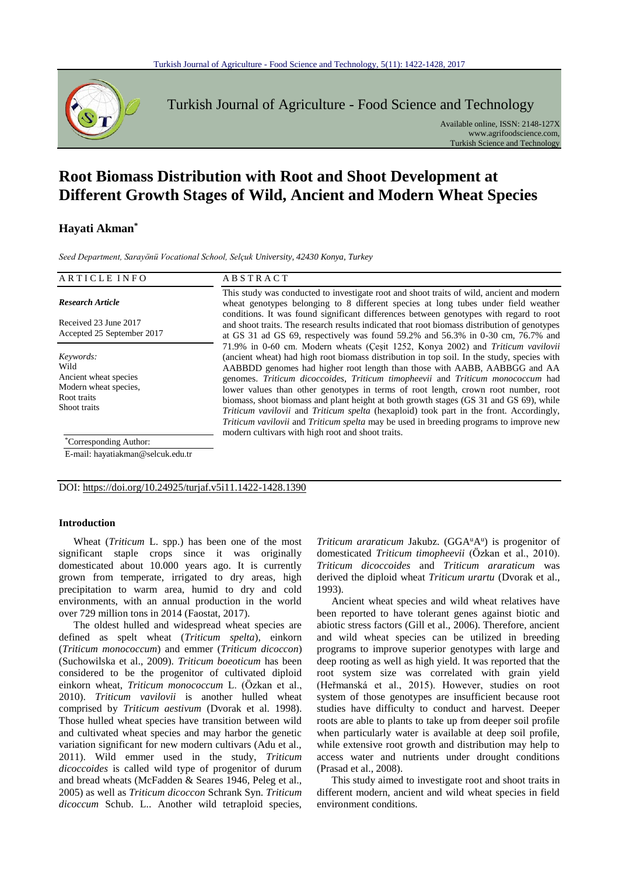

Turkish Journal of Agriculture - Food Science and Technology

Available online, ISSN: 2148-127X www.agrifoodscience.com, Turkish Science and Technology

# **Root Biomass Distribution with Root and Shoot Development at Different Growth Stages of Wild, Ancient and Modern Wheat Species**

## **Hayati Akman\***

*Seed Department, Sarayönü Vocational School, Selçuk University, 42430 Konya, Turkey*

| ARTICLE INFO                                                                                       | <b>ABSTRACT</b>                                                                                                                                                                                                                                                                                                                                                                                                                                                                                                                                                                                                                                                                                                                                                                       |
|----------------------------------------------------------------------------------------------------|---------------------------------------------------------------------------------------------------------------------------------------------------------------------------------------------------------------------------------------------------------------------------------------------------------------------------------------------------------------------------------------------------------------------------------------------------------------------------------------------------------------------------------------------------------------------------------------------------------------------------------------------------------------------------------------------------------------------------------------------------------------------------------------|
| <b>Research Article</b><br>Received 23 June 2017                                                   | This study was conducted to investigate root and shoot traits of wild, ancient and modern<br>wheat genotypes belonging to 8 different species at long tubes under field weather<br>conditions. It was found significant differences between genotypes with regard to root<br>and shoot traits. The research results indicated that root biomass distribution of genotypes                                                                                                                                                                                                                                                                                                                                                                                                             |
| Accepted 25 September 2017                                                                         | at GS 31 ad GS 69, respectively was found $59.2\%$ and $56.3\%$ in 0-30 cm, 76.7% and                                                                                                                                                                                                                                                                                                                                                                                                                                                                                                                                                                                                                                                                                                 |
| Keywords:<br>Wild<br>Ancient wheat species<br>Modern wheat species,<br>Root traits<br>Shoot traits | 71.9% in 0-60 cm. Modern wheats (Cesit 1252, Konya 2002) and Triticum vavilovii<br>(ancient wheat) had high root biomass distribution in top soil. In the study, species with<br>AABBDD genomes had higher root length than those with AABB, AABBGG and AA<br>genomes. Triticum dicoccoides, Triticum timopheevii and Triticum monococcum had<br>lower values than other genotypes in terms of root length, crown root number, root<br>biomass, shoot biomass and plant height at both growth stages (GS 31 and GS 69), while<br>Triticum vavilovii and Triticum spelta (hexaploid) took part in the front. Accordingly,<br><i>Triticum vavilovii</i> and <i>Triticum spelta</i> may be used in breeding programs to improve new<br>modern cultivars with high root and shoot traits. |
| <i>Corresponding Author:</i>                                                                       |                                                                                                                                                                                                                                                                                                                                                                                                                                                                                                                                                                                                                                                                                                                                                                                       |

E-mail: hayatiakman@selcuk.edu.tr

DOI: https://doi.org/10.24925/turjaf.v5i11.1422-1428.1390

## **Introduction**

Wheat (*Triticum* L. spp.) has been one of the most significant staple crops since it was originally domesticated about 10.000 years ago. It is currently grown from temperate, irrigated to dry areas, high precipitation to warm area, humid to dry and cold environments, with an annual production in the world over 729 million tons in 2014 (Faostat, 2017).

The oldest hulled and widespread wheat species are defined as spelt wheat (*Triticum spelta*), einkorn (*Triticum monococcum*) and emmer (*Triticum dicoccon*) (Suchowilska et al., 2009). *Triticum boeoticum* has been considered to be the progenitor of cultivated diploid einkorn wheat, *Triticum monococcum* L. (Özkan et al., 2010). *Triticum vavilovii* is another hulled wheat comprised by *Triticum aestivum* (Dvorak et al. 1998). Those hulled wheat species have transition between wild and cultivated wheat species and may harbor the genetic variation significant for new modern cultivars (Adu et al., 2011). Wild emmer used in the study, *Triticum dicoccoides* is called wild type of progenitor of durum and bread wheats (McFadden & Seares 1946, Peleg et al., 2005) as well as *Triticum dicoccon* Schrank Syn. *Triticum dicoccum* Schub. L.. Another wild tetraploid species,

Triticum araraticum Jakubz. (GGA<sup>u</sup>A<sup>u</sup>) is progenitor of domesticated *Triticum timopheevii* (Özkan et al., 2010). *Triticum dicoccoides* and *Triticum araraticum* was derived the diploid wheat *Triticum urartu* (Dvorak et al., 1993).

Ancient wheat species and wild wheat relatives have been reported to have tolerant genes against biotic and abiotic stress factors (Gill et al., 2006). Therefore, ancient and wild wheat species can be utilized in breeding programs to improve superior genotypes with large and deep rooting as well as high yield. It was reported that the root system size was correlated with grain yield (Heřmanská et al., 2015). However, studies on root system of those genotypes are insufficient because root studies have difficulty to conduct and harvest. Deeper roots are able to plants to take up from deeper soil profile when particularly water is available at deep soil profile, while extensive root growth and distribution may help to access water and nutrients under drought conditions (Prasad et al., 2008).

This study aimed to investigate root and shoot traits in different modern, ancient and wild wheat species in field environment conditions.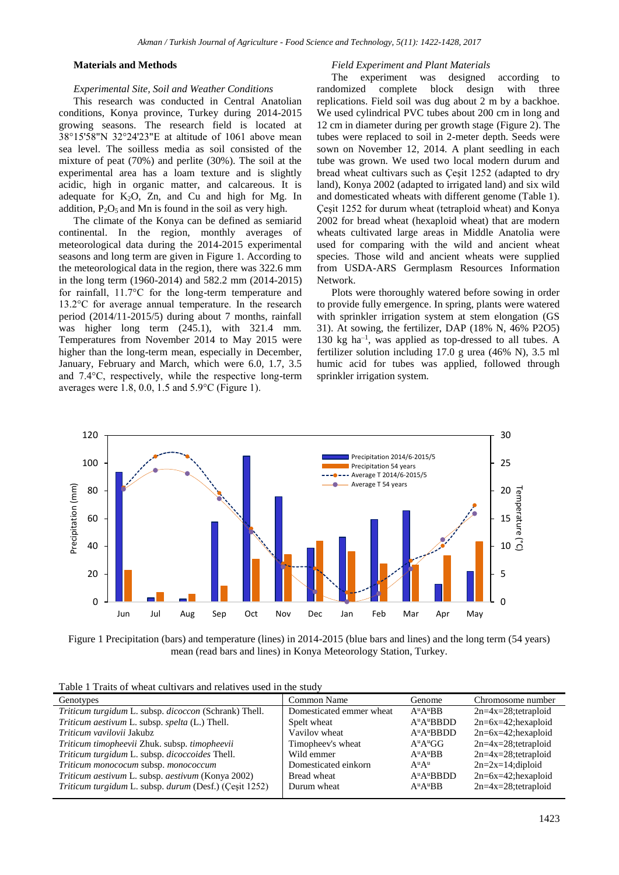## **Materials and Methods**

#### *Experimental Site, Soil and Weather Conditions*

This research was conducted in Central Anatolian conditions, Konya province, Turkey during 2014-2015 growing seasons. The research field is located at 38°15'58"N 32°24'23"E at altitude of 1061 above mean sea level. The soilless media as soil consisted of the mixture of peat (70%) and perlite (30%). The soil at the experimental area has a loam texture and is slightly acidic, high in organic matter, and calcareous. It is adequate for  $K_2O$ , Zn, and Cu and high for Mg. In addition,  $P_2O_5$  and Mn is found in the soil as very high.

The climate of the Konya can be defined as semiarid continental. In the region, monthly averages of meteorological data during the 2014-2015 experimental seasons and long term are given in Figure 1. According to the meteorological data in the region, there was 322.6 mm in the long term (1960-2014) and 582.2 mm (2014-2015) for rainfall, 11.7°C for the long-term temperature and 13.2°C for average annual temperature. In the research period (2014/11-2015/5) during about 7 months, rainfall was higher long term (245.1), with 321.4 mm. Temperatures from November 2014 to May 2015 were higher than the long-term mean, especially in December, January, February and March, which were 6.0, 1.7, 3.5 and 7.4°C, respectively, while the respective long-term averages were 1.8, 0.0, 1.5 and 5.9°C (Figure 1).

#### *Field Experiment and Plant Materials*

The experiment was designed according to randomized complete block design with three replications. Field soil was dug about 2 m by a backhoe. We used cylindrical PVC tubes about 200 cm in long and 12 cm in diameter during per growth stage (Figure 2). The tubes were replaced to soil in 2-meter depth. Seeds were sown on November 12, 2014. A plant seedling in each tube was grown. We used two local modern durum and bread wheat cultivars such as Çeşit 1252 (adapted to dry land), Konya 2002 (adapted to irrigated land) and six wild and domesticated wheats with different genome (Table 1). Çeşit 1252 for durum wheat (tetraploid wheat) and Konya 2002 for bread wheat (hexaploid wheat) that are modern wheats cultivated large areas in Middle Anatolia were used for comparing with the wild and ancient wheat species. Those wild and ancient wheats were supplied from USDA-ARS Germplasm Resources Information Network.

Plots were thoroughly watered before sowing in order to provide fully emergence. In spring, plants were watered with sprinkler irrigation system at stem elongation (GS 31). At sowing, the fertilizer, DAP (18% N, 46% P2O5) 130 kg ha–1 , was applied as top-dressed to all tubes. A fertilizer solution including 17.0 g urea (46% N), 3.5 ml humic acid for tubes was applied, followed through sprinkler irrigation system.



Figure 1 Precipitation (bars) and temperature (lines) in 2014-2015 (blue bars and lines) and the long term (54 years) mean (read bars and lines) in Konya Meteorology Station, Turkey.

|  | Table 1 Traits of wheat cultivars and relatives used in the study |  |  |  |
|--|-------------------------------------------------------------------|--|--|--|
|  |                                                                   |  |  |  |

| Genotypes                                              | Common Name              | Genome                             | Chromosome number       |
|--------------------------------------------------------|--------------------------|------------------------------------|-------------------------|
| Triticum turgidum L. subsp. dicoccon (Schrank) Thell.  | Domesticated emmer wheat | $A^{\mathrm{u}}A^{\mathrm{u}}BB$   | $2n=4x=28$ ; tetraploid |
| Triticum aestivum L. subsp. spelta (L.) Thell.         | Spelt wheat              | $A^{\mathrm{u}}A^{\mathrm{u}}BBDD$ | $2n=6x=42;$ hexaploid   |
| Triticum vavilovii Jakubz                              | Vavilov wheat            | $A^uA^u$ BBDD                      | $2n=6x=42;$ hexaploid   |
| Triticum timopheevii Zhuk. subsp. timopheevii          | Timopheev's wheat        | $A^uA^uGG$                         | $2n=4x=28$ ; tetraploid |
| Triticum turgidum L. subsp. dicoccoides Thell.         | Wild emmer               | $A^{\mathrm{u}}A^{\mathrm{u}}BB$   | $2n=4x=28$ ; tetraploid |
| Triticum monococum subsp. monococcum                   | Domesticated einkorn     | $A^u A^u$                          | $2n=2x=14; diploid$     |
| Triticum aestivum L. subsp. aestivum (Konya 2002)      | Bread wheat              | $A^{\mathrm{u}}A^{\mathrm{u}}BBDD$ | $2n=6x=42;$ hexaploid   |
| Triticum turgidum L. subsp. durum (Desf.) (Çeşit 1252) | Durum wheat              | $A^{\mathrm{u}}A^{\mathrm{u}}BB$   | $2n=4x=28$ ; tetraploid |
|                                                        |                          |                                    |                         |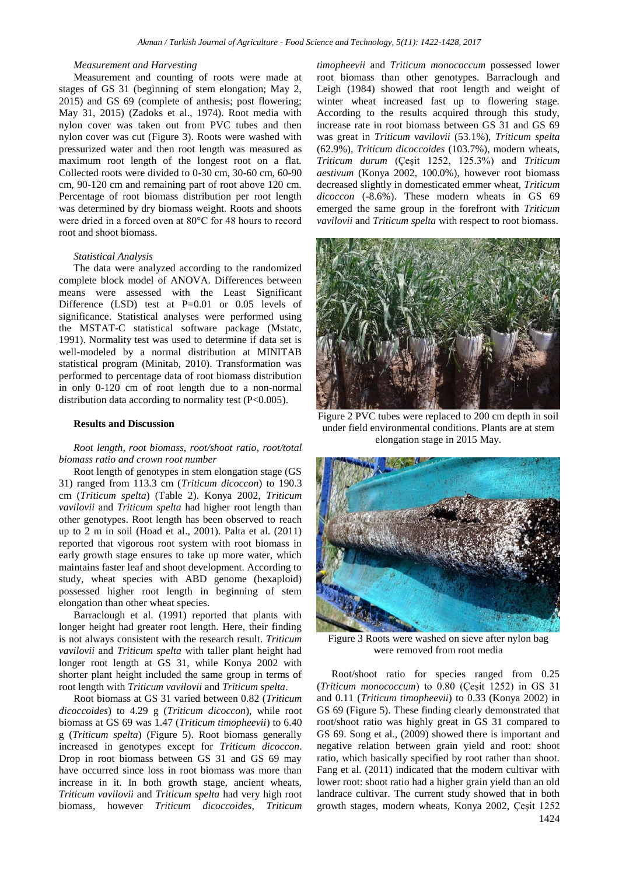#### *Measurement and Harvesting*

Measurement and counting of roots were made at stages of GS 31 (beginning of stem elongation; May 2, 2015) and GS 69 (complete of anthesis; post flowering; May 31, 2015) (Zadoks et al., 1974). Root media with nylon cover was taken out from PVC tubes and then nylon cover was cut (Figure 3). Roots were washed with pressurized water and then root length was measured as maximum root length of the longest root on a flat. Collected roots were divided to 0-30 cm, 30-60 cm, 60-90 cm, 90-120 cm and remaining part of root above 120 cm. Percentage of root biomass distribution per root length was determined by dry biomass weight. Roots and shoots were dried in a forced oven at 80°C for 48 hours to record root and shoot biomass.

#### *Statistical Analysis*

The data were analyzed according to the randomized complete block model of ANOVA. Differences between means were assessed with the Least Significant Difference (LSD) test at P=0.01 or 0.05 levels of significance. Statistical analyses were performed using the MSTAT-C statistical software package (Mstatc, 1991). Normality test was used to determine if data set is well-modeled by a normal distribution at MINITAB statistical program (Minitab, 2010). Transformation was performed to percentage data of root biomass distribution in only 0-120 cm of root length due to a non-normal distribution data according to normality test (P<0.005).

#### **Results and Discussion**

*Root length, root biomass, root/shoot ratio, root/total biomass ratio and crown root number*

Root length of genotypes in stem elongation stage (GS 31) ranged from 113.3 cm (*Triticum dicoccon*) to 190.3 cm (*Triticum spelta*) (Table 2). Konya 2002, *Triticum vavilovii* and *Triticum spelta* had higher root length than other genotypes. Root length has been observed to reach up to 2 m in soil (Hoad et al., 2001). Palta et al. (2011) reported that vigorous root system with root biomass in early growth stage ensures to take up more water, which maintains faster leaf and shoot development. According to study, wheat species with ABD genome (hexaploid) possessed higher root length in beginning of stem elongation than other wheat species.

Barraclough et al. (1991) reported that plants with longer height had greater root length. Here, their finding is not always consistent with the research result. *Triticum vavilovii* and *Triticum spelta* with taller plant height had longer root length at GS 31, while Konya 2002 with shorter plant height included the same group in terms of root length with *Triticum vavilovii* and *Triticum spelta*.

Root biomass at GS 31 varied between 0.82 (*Triticum dicoccoides*) to 4.29 g (*Triticum dicoccon*), while root biomass at GS 69 was 1.47 (*Triticum timopheevii*) to 6.40 g (*Triticum spelta*) (Figure 5). Root biomass generally increased in genotypes except for *Triticum dicoccon*. Drop in root biomass between GS 31 and GS 69 may have occurred since loss in root biomass was more than increase in it. In both growth stage, ancient wheats, *Triticum vavilovii* and *Triticum spelta* had very high root biomass, however *Triticum dicoccoides*, *Triticum*  *timopheevii* and *Triticum monococcum* possessed lower root biomass than other genotypes. Barraclough and Leigh (1984) showed that root length and weight of winter wheat increased fast up to flowering stage. According to the results acquired through this study, increase rate in root biomass between GS 31 and GS 69 was great in *Triticum vavilovii* (53.1%), *Triticum spelta* (62.9%), *Triticum dicoccoides* (103.7%), modern wheats, *Triticum durum* (Çeşit 1252, 125.3%) and *Triticum aestivum* (Konya 2002, 100.0%), however root biomass decreased slightly in domesticated emmer wheat, *Triticum dicoccon* (-8.6%). These modern wheats in GS 69 emerged the same group in the forefront with *Triticum vavilovii* and *Triticum spelta* with respect to root biomass.



Figure 2 PVC tubes were replaced to 200 cm depth in soil under field environmental conditions. Plants are at stem elongation stage in 2015 May.



Figure 3 Roots were washed on sieve after nylon bag were removed from root media

Root/shoot ratio for species ranged from 0.25 (*Triticum monococcum*) to 0.80 (Çeşit 1252) in GS 31 and 0.11 (*Triticum timopheevii*) to 0.33 (Konya 2002) in GS 69 (Figure 5). These finding clearly demonstrated that root/shoot ratio was highly great in GS 31 compared to GS 69. Song et al., (2009) showed there is important and negative relation between grain yield and root: shoot ratio, which basically specified by root rather than shoot. Fang et al. (2011) indicated that the modern cultivar with lower root: shoot ratio had a higher grain yield than an old landrace cultivar. The current study showed that in both growth stages, modern wheats, Konya 2002, Çeşit 1252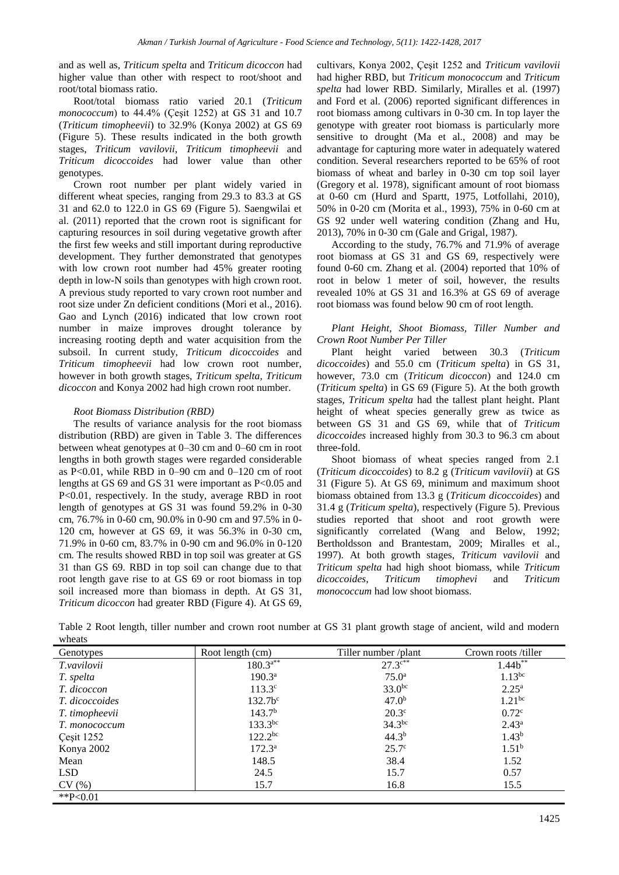and as well as, *Triticum spelta* and *Triticum dicoccon* had higher value than other with respect to root/shoot and root/total biomass ratio.

Root/total biomass ratio varied 20.1 (*Triticum monococcum*) to 44.4% (Çeşit 1252) at GS 31 and 10.7 (*Triticum timopheevii*) to 32.9% (Konya 2002) at GS 69 (Figure 5). These results indicated in the both growth stages, *Triticum vavilovii*, *Triticum timopheevii* and *Triticum dicoccoides* had lower value than other genotypes.

Crown root number per plant widely varied in different wheat species, ranging from 29.3 to 83.3 at GS 31 and 62.0 to 122.0 in GS 69 (Figure 5). Saengwilai et al. (2011) reported that the crown root is significant for capturing resources in soil during vegetative growth after the first few weeks and still important during reproductive development. They further demonstrated that genotypes with low crown root number had 45% greater rooting depth in low-N soils than genotypes with high crown root. A previous study reported to vary crown root number and root size under Zn deficient conditions (Mori et al., 2016). Gao and Lynch (2016) indicated that low crown root number in maize improves drought tolerance by increasing rooting depth and water acquisition from the subsoil. In current study, *Triticum dicoccoides* and *Triticum timopheevii* had low crown root number, however in both growth stages, *Triticum spelta*, *Triticum dicoccon* and Konya 2002 had high crown root number.

## *Root Biomass Distribution (RBD)*

The results of variance analysis for the root biomass distribution (RBD) are given in Table 3. The differences between wheat genotypes at 0–30 cm and 0–60 cm in root lengths in both growth stages were regarded considerable as P<0.01, while RBD in 0–90 cm and 0–120 cm of root lengths at GS 69 and GS 31 were important as P<0.05 and P<0.01, respectively. In the study, average RBD in root length of genotypes at GS 31 was found 59.2% in 0-30 cm, 76.7% in 0-60 cm, 90.0% in 0-90 cm and 97.5% in 0- 120 cm, however at GS 69, it was 56.3% in 0-30 cm, 71.9% in 0-60 cm, 83.7% in 0-90 cm and 96.0% in 0-120 cm. The results showed RBD in top soil was greater at GS 31 than GS 69. RBD in top soil can change due to that root length gave rise to at GS 69 or root biomass in top soil increased more than biomass in depth. At GS 31, *Triticum dicoccon* had greater RBD (Figure 4). At GS 69,

cultivars, Konya 2002, Çeşit 1252 and *Triticum vavilovii* had higher RBD, but *Triticum monococcum* and *Triticum spelta* had lower RBD. Similarly, Miralles et al. (1997) and Ford et al. (2006) reported significant differences in root biomass among cultivars in 0-30 cm. In top layer the genotype with greater root biomass is particularly more sensitive to drought (Ma et al., 2008) and may be advantage for capturing more water in adequately watered condition. Several researchers reported to be 65% of root biomass of wheat and barley in 0-30 cm top soil layer (Gregory et al. 1978), significant amount of root biomass at 0-60 cm (Hurd and Spartt, 1975, Lotfollahi, 2010), 50% in 0-20 cm (Morita et al., 1993), 75% in 0-60 cm at GS 92 under well watering condition (Zhang and Hu, 2013), 70% in 0-30 cm (Gale and Grigal, 1987).

According to the study, 76.7% and 71.9% of average root biomass at GS 31 and GS 69, respectively were found 0-60 cm. Zhang et al. (2004) reported that 10% of root in below 1 meter of soil, however, the results revealed 10% at GS 31 and 16.3% at GS 69 of average root biomass was found below 90 cm of root length.

## *Plant Height, Shoot Biomass, Tiller Number and Crown Root Number Per Tiller*

Plant height varied between 30.3 (*Triticum dicoccoides*) and 55.0 cm (*Triticum spelta*) in GS 31, however, 73.0 cm (*Triticum dicoccon*) and 124.0 cm (*Triticum spelta*) in GS 69 (Figure 5). At the both growth stages, *Triticum spelta* had the tallest plant height. Plant height of wheat species generally grew as twice as between GS 31 and GS 69, while that of *Triticum dicoccoides* increased highly from 30.3 to 96.3 cm about three-fold.

Shoot biomass of wheat species ranged from 2.1 (*Triticum dicoccoides*) to 8.2 g (*Triticum vavilovii*) at GS 31 (Figure 5). At GS 69, minimum and maximum shoot biomass obtained from 13.3 g (*Triticum dicoccoides*) and 31.4 g (*Triticum spelta*), respectively (Figure 5). Previous studies reported that shoot and root growth were significantly correlated (Wang and Below, 1992; Bertholdsson and Brantestam, 2009; Miralles et al., 1997). At both growth stages, *Triticum vavilovii* and *Triticum spelta* had high shoot biomass, while *Triticum dicoccoides*, *Triticum timophevi* and *Triticum monococcum* had low shoot biomass.

| Table 2 Root length, tiller number and crown root number at GS 31 plant growth stage of ancient, wild and modern |  |  |  |  |  |
|------------------------------------------------------------------------------------------------------------------|--|--|--|--|--|
| wheats                                                                                                           |  |  |  |  |  |

| Genotypes             | Root length (cm)   | Tiller number /plant     | Crown roots/tiller |  |
|-----------------------|--------------------|--------------------------|--------------------|--|
| T.vavilovii           | $180.3^{a**}$      | $27.3$ $\mathrm{c}^{**}$ | $1.44b***$         |  |
| T. spelta             | 190.3 <sup>a</sup> | $75.0^{\rm a}$           | $1.13$ bc          |  |
| T. dicoccon           | $113.3^{\circ}$    | $33.0^{bc}$              | $2.25^{\rm a}$     |  |
| <i>T. dicoccoides</i> | 132.7 <sup>c</sup> | 47.0 <sup>b</sup>        | $1.21^{bc}$        |  |
| T. timopheevii        | 143.7 <sup>b</sup> | $20.3^\circ$             | 0.72 <sup>c</sup>  |  |
| T. monococcum         | $133.3^{bc}$       | 34.3 <sup>bc</sup>       | $2.43^{\rm a}$     |  |
| Cesit 1252            | $122.2^{bc}$       | 44.3 <sup>b</sup>        | $1.43^{b}$         |  |
| Konya 2002            | $172.3^{\rm a}$    | 25.7 <sup>c</sup>        | 1.51 <sup>b</sup>  |  |
| Mean                  | 148.5              | 38.4                     | 1.52               |  |
| <b>LSD</b>            | 24.5               | 15.7                     | 0.57               |  |
| CV(%)                 | 15.7               | 16.8                     | 15.5               |  |
| ** $P<0.01$           |                    |                          |                    |  |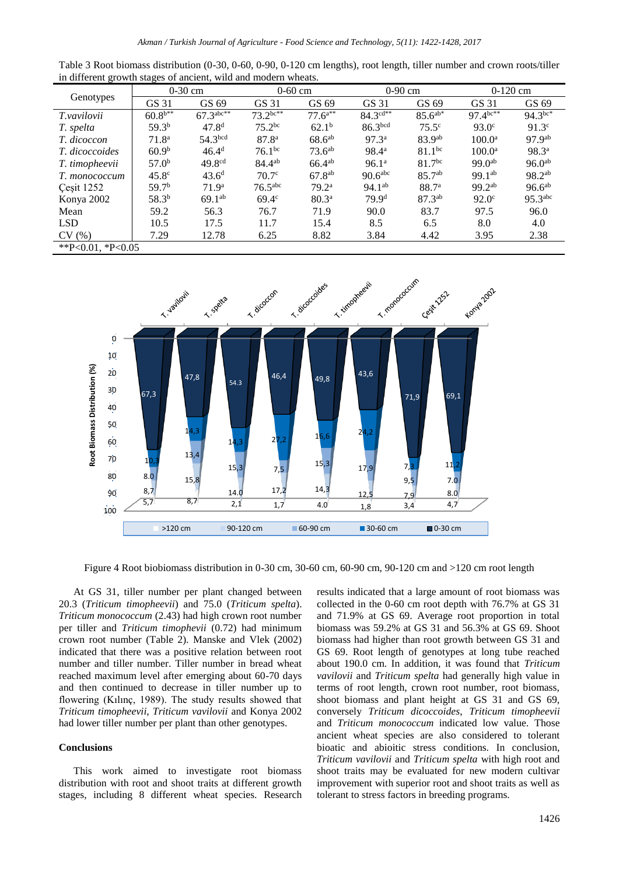| °                 | ۔<br>$0-30$ cm    |                       | $0-60$ cm           |                   | $0-90$ cm                   |                    | $0-120$ cm         |                       |
|-------------------|-------------------|-----------------------|---------------------|-------------------|-----------------------------|--------------------|--------------------|-----------------------|
| Genotypes         | GS 31             | GS 69                 | GS 31               | GS 69             | GS 31                       | GS 69              | GS 31              | GS 69                 |
| T.vavilovii       | $60.8^{b**}$      | $67.3^{\text{abc}**}$ | $73.2^{bc**}$       | $77.6^{a**}$      | $84.3^{\overline{c}d^{**}}$ | $85.6^{ab*}$       | $97.4^{bc**}$      | $94.3^{bc*}$          |
| T. spelta         | 59.3 <sup>b</sup> | 47.8 <sup>d</sup>     | $75.2^{bc}$         | $62.1^{b}$        | 86.3bcd                     | $75.5^\circ$       | $93.0^{\circ}$     | $91.3^{\circ}$        |
| T. dicoccon       | 71.8 <sup>a</sup> | 54.3 <sup>bcd</sup>   | 87.8 <sup>a</sup>   | $68.6^{ab}$       | 97.3 <sup>a</sup>           | 83.9 <sup>ab</sup> | $100.0^{\rm a}$    | 97.9 <sup>ab</sup>    |
| T. dicoccoides    | 60.9 <sup>b</sup> | 46.4 <sup>d</sup>     | 76.1 <sup>bc</sup>  | $73.6^{ab}$       | 98.4 <sup>a</sup>           | 81.1 <sup>bc</sup> | $100.0^{\rm a}$    | $98.3^{a}$            |
| T. timopheevii    | 57.0 <sup>b</sup> | 49.8 <sup>cd</sup>    | 84.4 <sup>ab</sup>  | $66.4^{ab}$       | 96.1 <sup>a</sup>           | $81.7^{bc}$        | 99.0 <sup>ab</sup> | $96.0^{ab}$           |
| T. monococcum     | $45.8^\circ$      | $43.6^{\rm d}$        | 70.7 <sup>c</sup>   | $67.8^{ab}$       | 90.6 <sup>abc</sup>         | $85.7^{ab}$        | $99.1^{ab}$        | $98.2^{ab}$           |
| Çeşit 1252        | 59.7 <sup>b</sup> | 71.9 <sup>a</sup>     | 76.5 <sup>abc</sup> | 79.2ª             | $94.1^{ab}$                 | 88.7 <sup>a</sup>  | $99.2^{ab}$        | $96.6^{ab}$           |
| Konya 2002        | 58.3 <sup>b</sup> | $69.1^{ab}$           | $69.4^\circ$        | 80.3 <sup>a</sup> | 79.9 <sup>d</sup>           | 87.3 <sup>ab</sup> | $92.0^\circ$       | $95.3$ <sup>abc</sup> |
| Mean              | 59.2              | 56.3                  | 76.7                | 71.9              | 90.0                        | 83.7               | 97.5               | 96.0                  |
| <b>LSD</b>        | 10.5              | 17.5                  | 11.7                | 15.4              | 8.5                         | 6.5                | 8.0                | 4.0                   |
| CV(%)             | 7.29              | 12.78                 | 6.25                | 8.82              | 3.84                        | 4.42               | 3.95               | 2.38                  |
| **P<0.01, *P<0.05 |                   |                       |                     |                   |                             |                    |                    |                       |

Table 3 Root biomass distribution (0-30, 0-60, 0-90, 0-120 cm lengths), root length, tiller number and crown roots/tiller in different growth stages of ancient, wild and modern wheats.



Figure 4 Root biobiomass distribution in 0-30 cm, 30-60 cm, 60-90 cm, 90-120 cm and >120 cm root length

At GS 31, tiller number per plant changed between 20.3 (*Triticum timopheevii*) and 75.0 (*Triticum spelta*). *Triticum monococcum* (2.43) had high crown root number per tiller and *Triticum timophevii* (0.72) had minimum crown root number (Table 2). Manske and Vlek (2002) indicated that there was a positive relation between root number and tiller number. Tiller number in bread wheat reached maximum level after emerging about 60-70 days and then continued to decrease in tiller number up to flowering (Kılınç, 1989). The study results showed that *Triticum timopheevii*, *Triticum vavilovii* and Konya 2002 had lower tiller number per plant than other genotypes.

## **Conclusions**

This work aimed to investigate root biomass distribution with root and shoot traits at different growth stages, including 8 different wheat species. Research

results indicated that a large amount of root biomass was collected in the 0-60 cm root depth with 76.7% at GS 31 and 71.9% at GS 69. Average root proportion in total biomass was 59.2% at GS 31 and 56.3% at GS 69. Shoot biomass had higher than root growth between GS 31 and GS 69. Root length of genotypes at long tube reached about 190.0 cm. In addition, it was found that *Triticum vavilovii* and *Triticum spelta* had generally high value in terms of root length, crown root number, root biomass, shoot biomass and plant height at GS 31 and GS 69, conversely *Triticum dicoccoides*, *Triticum timopheevii* and *Triticum monococcum* indicated low value. Those ancient wheat species are also considered to tolerant bioatic and abioitic stress conditions. In conclusion, *Triticum vavilovii* and *Triticum spelta* with high root and shoot traits may be evaluated for new modern cultivar improvement with superior root and shoot traits as well as tolerant to stress factors in breeding programs.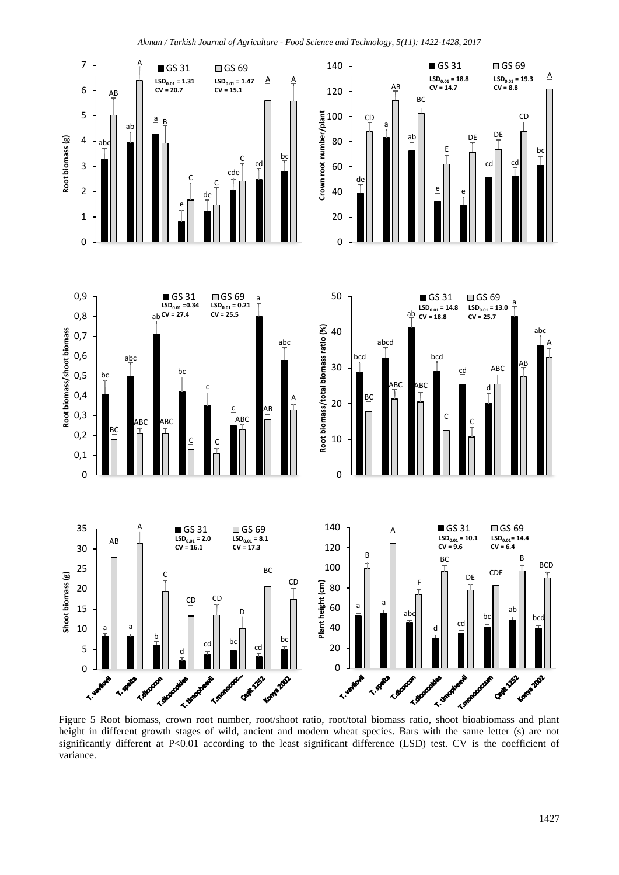

height in different growth stages of wild, ancient and modern wheat species. Bars with the same letter (s) are not significantly different at P<0.01 according to the least significant difference (LSD) test. CV is the coefficient of variance.